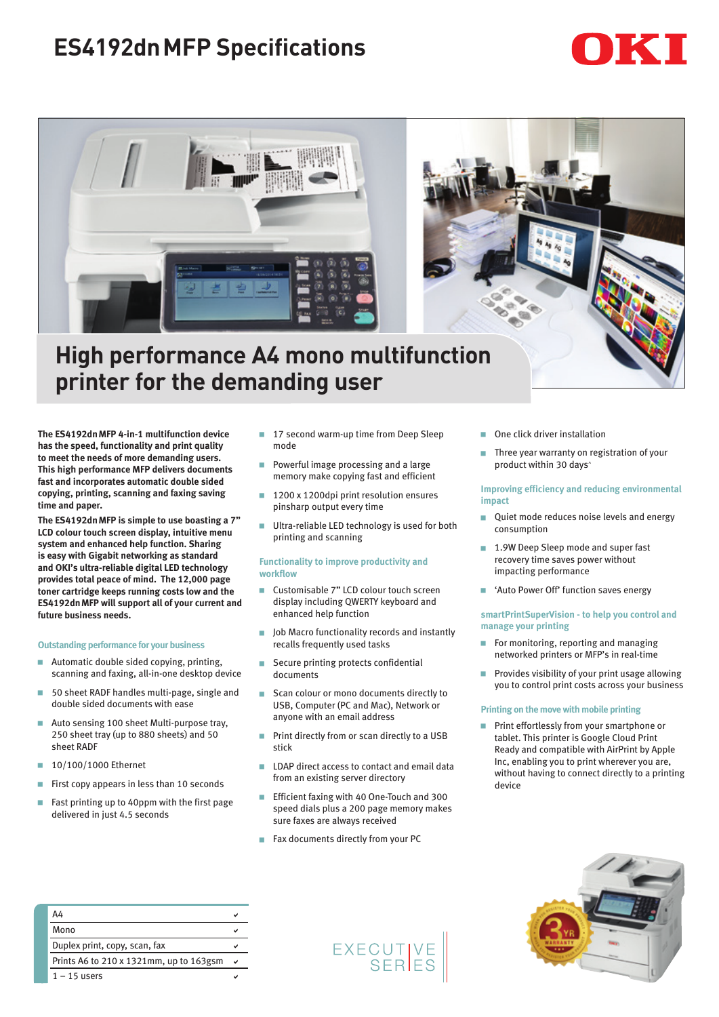# **ES4192dnMFP Specifications**





## **High performance A4 mono multifunction printer for the demanding user**

**The ES4192dnMFP 4-in-1 multifunction device has the speed, functionality and print quality to meet the needs of more demanding users. This high performance MFP delivers documents fast and incorporates automatic double sided copying, printing, scanning and faxing saving time and paper.** 

**The ES4192dnMFP is simple to use boasting a 7" LCD colour touch screen display, intuitive menu system and enhanced help function. Sharing is easy with Gigabit networking as standard and OKI's ultra-reliable digital LED technology provides total peace of mind. The 12,000 page toner cartridge keeps running costs low and the ES4192dnMFP will support all of your current and future business needs.** 

### **Outstanding performance for your business**

- Automatic double sided copying, printing, scanning and faxing, all-in-one desktop device
- 50 sheet RADF handles multi-page, single and double sided documents with ease
- Auto sensing 100 sheet Multi-purpose trav. 250 sheet tray (up to 880 sheets) and 50 sheet RADF
- $10/100/1000$  Ethernet
- First copy appears in less than 10 seconds
- Fast printing up to 40ppm with the first page delivered in just 4.5 seconds
- 17 second warm-up time from Deep Sleep mode
- Powerful image processing and a large memory make copying fast and efficient
- 1200 x 1200dpi print resolution ensures pinsharp output every time
- Ultra-reliable LED technology is used for both printing and scanning

#### **Functionality to improve productivity and workflow**

- Customisable 7" LCD colour touch screen display including QWERTY keyboard and enhanced help function
- **D** Job Macro functionality records and instantly recalls frequently used tasks
- Secure printing protects confidential documents
- **GE Scan colour or mono documents directly to** USB, Computer (PC and Mac), Network or anyone with an email address
- Print directly from or scan directly to a USB stick
- **EXECUTE:** LDAP direct access to contact and email data from an existing server directory
- Efficient faxing with 40 One-Touch and 300 speed dials plus a 200 page memory makes sure faxes are always received
- Fax documents directly from your PC
- One click driver installation
- Three year warranty on registration of your product within 30 days^

#### **Improving efficiency and reducing environmental impact**

- Quiet mode reduces noise levels and energy consumption
- 1.9W Deep Sleep mode and super fast recovery time saves power without impacting performance
- **E** 'Auto Power Off' function saves energy

#### **smartPrintSuperVision - to help you control and manage your printing**

- For monitoring, reporting and managing networked printers or MFP's in real-time
- Provides visibility of your print usage allowing you to control print costs across your business

#### **Printing on the move with mobile printing**

**Print effortlessly from your smartphone or** tablet. This printer is Google Cloud Print Ready and compatible with AirPrint by Apple Inc, enabling you to print wherever you are, without having to connect directly to a printing device

| <b>September 2004</b>                                  |   |  |
|--------------------------------------------------------|---|--|
| ۰<br>YR<br>٠<br>٠<br>ŧ<br><b>ARRANTY</b><br><br>France |   |  |
|                                                        | ı |  |

| A4                                      |  |
|-----------------------------------------|--|
| Mono                                    |  |
| Duplex print, copy, scan, fax           |  |
| Prints A6 to 210 x 1321mm, up to 163gsm |  |
| $1 - 15$ users                          |  |